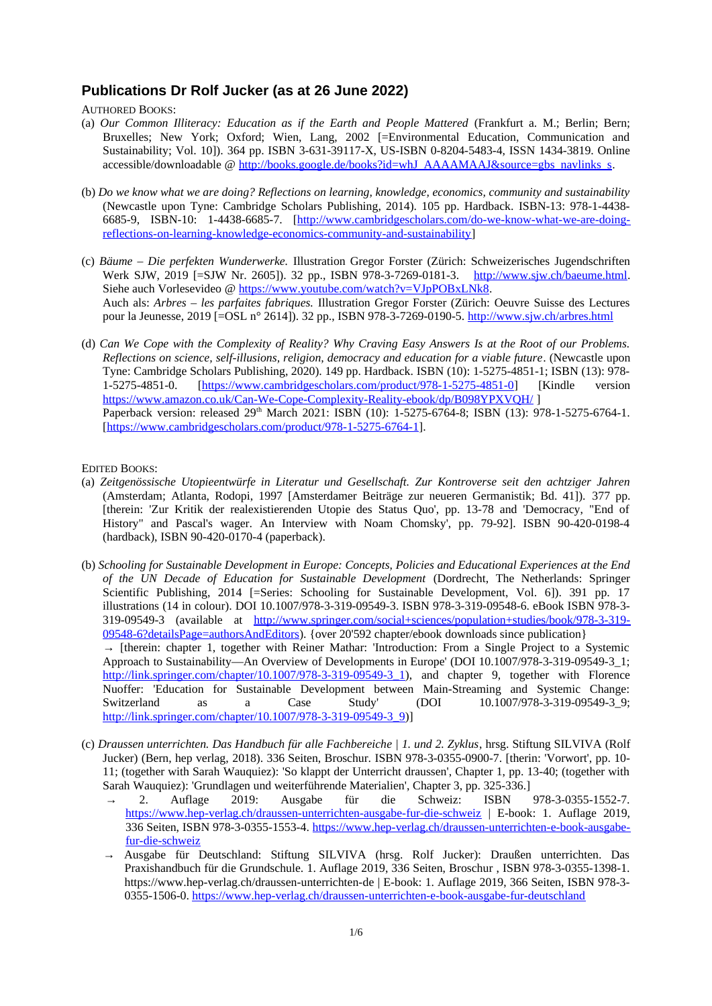## **Publications Dr Rolf Jucker (as at 26 June 2022)**

AUTHORED BOOKS:

- (a) *Our Common Illiteracy: Education as if the Earth and People Mattered* (Frankfurt a. M.; Berlin; Bern; Bruxelles; New York; Oxford; Wien, Lang, 2002 [=Environmental Education, Communication and Sustainability; Vol. 10]). 364 pp. ISBN 3-631-39117-X, US-ISBN 0-8204-5483-4, ISSN 1434-3819. Online accessible/downloadable @ [http://books.google.de/books?id=whJ\\_AAAAMAAJ&source=gbs\\_navlinks\\_s](http://books.google.de/books?id=whJ_AAAAMAAJ&source=gbs_navlinks_s).
- (b) *Do we know what we are doing? Reflections on learning, knowledge, economics, community and sustainability* (Newcastle upon Tyne: Cambridge Scholars Publishing, 2014). 105 pp. Hardback. ISBN-13: 978-1-4438- 6685-9, ISBN-10: 1-4438-6685-7. [\[http://www.cambridgescholars.com/do-we-know-what-we-are-doing](http://www.cambridgescholars.com/do-we-know-what-we-are-doing-reflections-on-learning-knowledge-economics-community-and-sustainability)[reflections-on-learning-knowledge-economics-community-and-sustainability](http://www.cambridgescholars.com/do-we-know-what-we-are-doing-reflections-on-learning-knowledge-economics-community-and-sustainability)]
- (c) *Bäume Die perfekten Wunderwerke.* Illustration Gregor Forster (Zürich: Schweizerisches Jugendschriften Werk SJW, 2019 [=SJW Nr. 2605]). 32 pp., ISBN 978-3-7269-0181-3. [http://www.sjw.ch/baeume.html.](http://www.sjw.ch/baeume.html) Siehe auch Vorlesevideo @ <https://www.youtube.com/watch?v=VJpPOBxLNk8>. Auch als: *Arbres – les parfaites fabriques.* Illustration Gregor Forster (Zürich: Oeuvre Suisse des Lectures pour la Jeunesse, 2019 [=OSL n° 2614]). 32 pp., ISBN 978-3-7269-0190-5.<http://www.sjw.ch/arbres.html>
- (d) *Can We Cope with the Complexity of Reality? Why Craving Easy Answers Is at the Root of our Problems. Reflections on science, self-illusions, religion, democracy and education for a viable future*. (Newcastle upon Tyne: Cambridge Scholars Publishing, 2020). 149 pp. Hardback. ISBN (10): 1-5275-4851-1; ISBN (13): 978- 1-5275-4851-0. [<https://www.cambridgescholars.com/product/978-1-5275-4851-0>] [Kindle version <https://www.amazon.co.uk/Can-We-Cope-Complexity-Reality-ebook/dp/B098YPXVQH/> Paperback version: released 29<sup>th</sup> March 2021: ISBN (10): 1-5275-6764-8; ISBN (13): 978-1-5275-6764-1. [\[https://www.cambridgescholars.com/product/978-1-5275-6764-1](https://www.cambridgescholars.com/product/978-1-5275-6764-1)].

EDITED BOOKS:

- (a) *Zeitgenössische Utopieentwürfe in Literatur und Gesellschaft. Zur Kontroverse seit den achtziger Jahren* (Amsterdam; Atlanta, Rodopi, 1997 [Amsterdamer Beiträge zur neueren Germanistik; Bd. 41]). 377 pp. [therein: 'Zur Kritik der realexistierenden Utopie des Status Quo', pp. 13-78 and 'Democracy, "End of History" and Pascal's wager. An Interview with Noam Chomsky', pp. 79-92]. ISBN 90-420-0198-4 (hardback), ISBN 90-420-0170-4 (paperback).
- (b) *Schooling for Sustainable Development in Europe: Concepts, Policies and Educational Experiences at the End of the UN Decade of Education for Sustainable Development* (Dordrecht, The Netherlands: Springer Scientific Publishing, 2014 [=Series: Schooling for Sustainable Development, Vol. 6]). 391 pp. 17 illustrations (14 in colour). DOI 10.1007/978-3-319-09549-3. ISBN 978-3-319-09548-6. eBook ISBN 978-3- 319-09549-3 (available at [http://www.springer.com/social+sciences/population+studies/book/978-3-319-](http://www.springer.com/social+sciences/population+studies/book/978-3-319-09548-6?detailsPage=authorsAndEditors) [09548-6?detailsPage=authorsAndEditors](http://www.springer.com/social+sciences/population+studies/book/978-3-319-09548-6?detailsPage=authorsAndEditors)). {over 20'592 chapter/ebook downloads since publication}  $\rightarrow$  [therein: chapter 1, together with Reiner Mathar: 'Introduction: From a Single Project to a Systemic Approach to Sustainability—An Overview of Developments in Europe' (DOI 10.1007/978-3-319-09549-3\_1; [http://link.springer.com/chapter/10.1007/978-3-319-09549-3\\_1](http://link.springer.com/chapter/10.1007/978-3-319-09549-3_1)), and chapter 9, together with Florence Nuoffer: 'Education for Sustainable Development between Main-Streaming and Systemic Change: Switzerland as a Case Study' (DOI 10.1007/978-3-319-09549-3\_9; [http://link.springer.com/chapter/10.1007/978-3-319-09549-3\\_9](http://link.springer.com/chapter/10.1007/978-3-319-09549-3_9))]
- (c) *Draussen unterrichten. Das Handbuch für alle Fachbereiche | 1. und 2. Zyklus*, hrsg. Stiftung SILVIVA (Rolf Jucker) (Bern, hep verlag, 2018). 336 Seiten, Broschur. ISBN 978-3-0355-0900-7. [therin: 'Vorwort', pp. 10- 11; (together with Sarah Wauquiez): 'So klappt der Unterricht draussen', Chapter 1, pp. 13-40; (together with Sarah Wauquiez): 'Grundlagen und weiterführende Materialien', Chapter 3, pp. 325-336.]<br>  $\rightarrow$  2. Auflage 2019: Ausgabe für die Schweiz: ISBN
	- → 2. Auflage 2019: Ausgabe für die Schweiz: ISBN 978-3-0355-1552-7. <https://www.hep-verlag.ch/draussen-unterrichten-ausgabe-fur-die-schweiz>| E-book: 1. Auflage 2019, 336 Seiten, ISBN 978-3-0355-1553-4. [https://www.hep-verlag.ch/draussen-unterrichten-e-book-ausgabe](https://www.hep-verlag.ch/draussen-unterrichten-e-book-ausgabe-fur-die-schweiz)[fur-die-schweiz](https://www.hep-verlag.ch/draussen-unterrichten-e-book-ausgabe-fur-die-schweiz)
	- → Ausgabe für Deutschland: Stiftung SILVIVA (hrsg. Rolf Jucker): Draußen unterrichten. Das Praxishandbuch für die Grundschule. 1. Auflage 2019, 336 Seiten, Broschur , ISBN 978-3-0355-1398-1. <https://www.hep-verlag.ch/draussen-unterrichten-de> | E-book: 1. Auflage 2019, 366 Seiten, ISBN 978-3- 0355-1506-0. <https://www.hep-verlag.ch/draussen-unterrichten-e-book-ausgabe-fur-deutschland>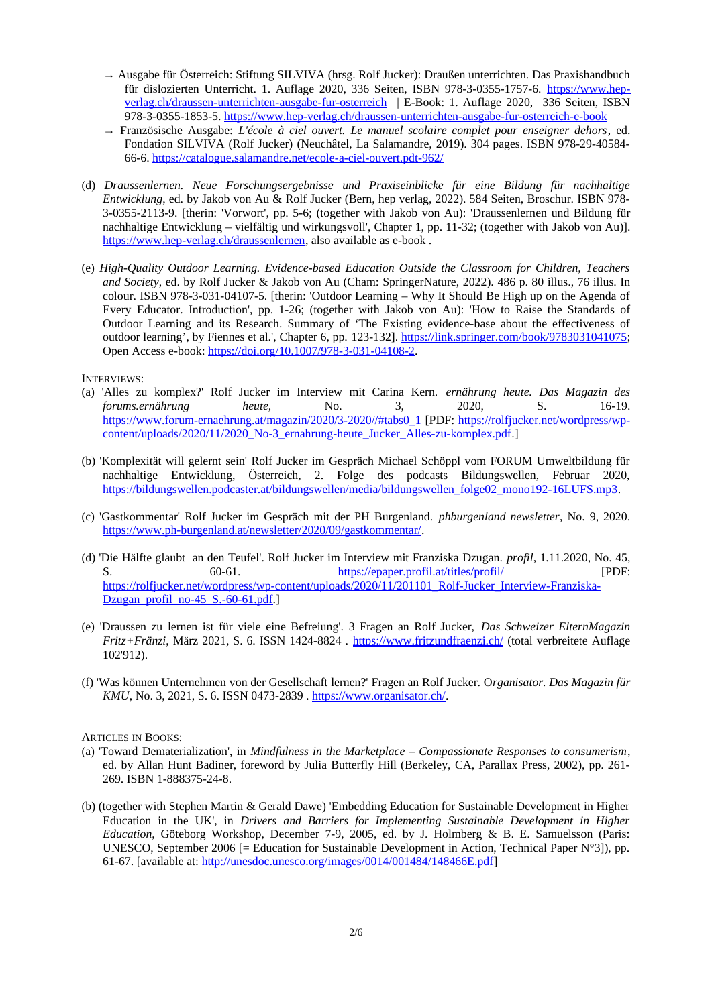- → Ausgabe für Österreich: Stiftung SILVIVA (hrsg. Rolf Jucker): Draußen unterrichten. Das Praxishandbuch für dislozierten Unterricht. 1. Auflage 2020, 336 Seiten, ISBN 978-3-0355-1757-6. [https://www.hep](https://www.hep-verlag.ch/draussen-unterrichten-ausgabe-fur-osterreich)[verlag.ch/draussen-unterrichten-ausgabe-fur-osterreich](https://www.hep-verlag.ch/draussen-unterrichten-ausgabe-fur-osterreich) | E-Book: 1. Auflage 2020, 336 Seiten, ISBN 978-3-0355-1853-5.<https://www.hep-verlag.ch/draussen-unterrichten-ausgabe-fur-osterreich-e-book>
- → Französische Ausgabe: *L'école à ciel ouvert. Le manuel scolaire complet pour enseigner dehors*, ed. Fondation SILVIVA (Rolf Jucker) (Neuchâtel, La Salamandre, 2019). 304 pages. ISBN 978-29-40584- 66-6.<https://catalogue.salamandre.net/ecole-a-ciel-ouvert.pdt-962/>
- (d) *Draussenlernen. Neue Forschungsergebnisse und Praxiseinblicke für eine Bildung für nachhaltige Entwicklung*, ed. by Jakob von Au & Rolf Jucker (Bern, hep verlag, 2022). 584 Seiten, Broschur. ISBN 978- 3-0355-2113-9. [therin: 'Vorwort', pp. 5-6; (together with Jakob von Au): 'Draussenlernen und Bildung für nachhaltige Entwicklung – vielfältig und wirkungsvoll', Chapter 1, pp. 11-32; (together with Jakob von Au)]. <https://www.hep-verlag.ch/draussenlernen>, also available as e-book .
- (e) *High-Quality Outdoor Learning. Evidence-based Education Outside the Classroom for Children, Teachers and Society*, ed. by Rolf Jucker & Jakob von Au (Cham: SpringerNature, 2022). 486 p. 80 illus., 76 illus. In colour. ISBN 978-3-031-04107-5. [therin: 'Outdoor Learning – Why It Should Be High up on the Agenda of Every Educator. Introduction', pp. 1-26; (together with Jakob von Au): 'How to Raise the Standards of Outdoor Learning and its Research. Summary of 'The Existing evidence-base about the effectiveness of outdoor learning', by Fiennes et al.', Chapter 6, pp. 123-132]. [https://link.springer.com/book/9783031041075;](https://link.springer.com/book/9783031041075) Open Access e-book: [https://doi.org/10.1007/978-3-031-04108-2.](https://doi.org/10.1007/978-3-031-04108-2)

INTERVIEWS:

- (a) 'Alles zu komplex?' Rolf Jucker im Interview mit Carina Kern. *ernährung heute. Das Magazin des forums.ernährung heute,* No. 3, 2020, S. 16-19. [https://www.forum-ernaehrung.at/magazin/2020/3-2020//#tabs0\\_1](https://www.forum-ernaehrung.at/magazin/2020/3-2020//#tabs0_1) [PDF: [https://rolfjucker.net/wordpress/wp](https://rolfjucker.net/wordpress/wp-content/uploads/2020/11/2020_No-3_ernahrung-heute_Jucker_Alles-zu-komplex.pdf)[content/uploads/2020/11/2020\\_No-3\\_ernahrung-heute\\_Jucker\\_Alles-zu-komplex.pdf.](https://rolfjucker.net/wordpress/wp-content/uploads/2020/11/2020_No-3_ernahrung-heute_Jucker_Alles-zu-komplex.pdf)]
- (b) 'Komplexität will gelernt sein' Rolf Jucker im Gespräch Michael Schöppl vom FORUM Umweltbildung für nachhaltige Entwicklung, Österreich, 2. Folge des podcasts Bildungswellen, Februar 2020, [https://bildungswellen.podcaster.at/bildungswellen/media/bildungswellen\\_folge02\\_mono192-16LUFS.mp3.](https://bildungswellen.podcaster.at/bildungswellen/media/bildungswellen_folge02_mono192-16LUFS.mp3)
- (c) 'Gastkommentar' Rolf Jucker im Gespräch mit der PH Burgenland. *phburgenland newsletter*, No. 9, 2020. [https://www.ph-burgenland.at/newsletter/2020/09/gastkommentar/.](https://www.ph-burgenland.at/newsletter/2020/09/gastkommentar/)
- (d) 'Die Hälfte glaubt an den Teufel'. Rolf Jucker im Interview mit Franziska Dzugan. *profil*, 1.11.2020, No. 45, S. 60-61.<https://epaper.profil.at/titles/profil/>[PDF: [https://rolfjucker.net/wordpress/wp-content/uploads/2020/11/201101\\_Rolf-Jucker\\_Interview-Franziska-](https://rolfjucker.net/wordpress/wp-content/uploads/2020/11/201101_Rolf-Jucker_Interview-Franziska-Dzugan_profil_no-45_S.-60-61.pdf)[Dzugan\\_profil\\_no-45\\_S.-60-61.pdf](https://rolfjucker.net/wordpress/wp-content/uploads/2020/11/201101_Rolf-Jucker_Interview-Franziska-Dzugan_profil_no-45_S.-60-61.pdf).]
- (e) 'Draussen zu lernen ist für viele eine Befreiung'. 3 Fragen an Rolf Jucker, *Das Schweizer ElternMagazin Fritz+Fränzi*, März 2021, S. 6. ISSN 1424-8824 . <https://www.fritzundfraenzi.ch/> (total verbreitete Auflage 102'912).
- (f) 'Was können Unternehmen von der Gesellschaft lernen?' Fragen an Rolf Jucker. O*rganisator. Das Magazin für KMU*, No. 3, 2021, S. 6. ISSN 0473-2839 . [https://www.organisator.ch/.](https://www.organisator.ch/)

ARTICLES IN BOOKS:

- (a) 'Toward Dematerialization', in *Mindfulness in the Marketplace Compassionate Responses to consumerism*, ed. by Allan Hunt Badiner, foreword by Julia Butterfly Hill (Berkeley, CA, Parallax Press, 2002), pp. 261- 269. ISBN 1-888375-24-8.
- (b) (together with Stephen Martin & Gerald Dawe) 'Embedding Education for Sustainable Development in Higher Education in the UK', in *Drivers and Barriers for Implementing Sustainable Development in Higher Education*, Göteborg Workshop, December 7-9, 2005, ed. by J. Holmberg & B. E. Samuelsson (Paris: UNESCO, September 2006 [= Education for Sustainable Development in Action, Technical Paper N°3]), pp. 61-67. [available at: [http://unesdoc.unesco.org/images/0014/001484/148466E.pdf\]](http://unesdoc.unesco.org/images/0014/001484/148466E.pdf)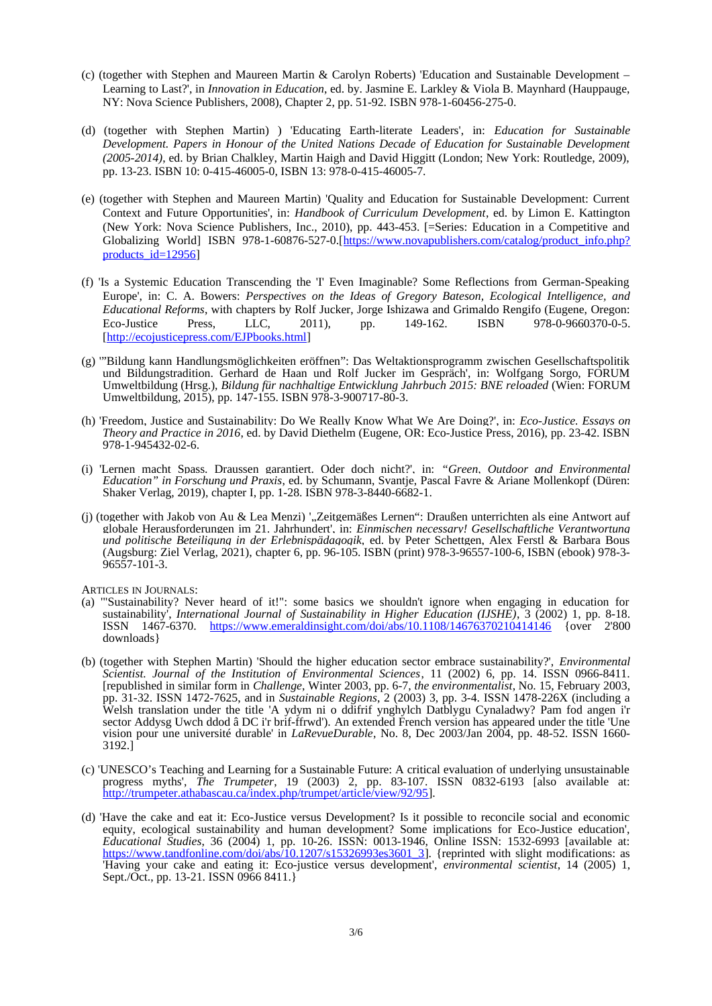- (c) (together with Stephen and Maureen Martin & Carolyn Roberts) 'Education and Sustainable Development Learning to Last?', in *Innovation in Education*, ed. by. Jasmine E. Larkley & Viola B. Maynhard (Hauppauge, NY: Nova Science Publishers, 2008), Chapter 2, pp. 51-92. ISBN 978-1-60456-275-0.
- (d) (together with Stephen Martin) ) 'Educating Earth-literate Leaders', in: *Education for Sustainable Development. Papers in Honour of the United Nations Decade of Education for Sustainable Development (2005-2014)*, ed. by Brian Chalkley, Martin Haigh and David Higgitt (London; New York: Routledge, 2009), pp. 13-23. ISBN 10: 0-415-46005-0, ISBN 13: 978-0-415-46005-7.
- (e) (together with Stephen and Maureen Martin) 'Quality and Education for Sustainable Development: Current Context and Future Opportunities', in: *Handbook of Curriculum Development*, ed. by Limon E. Kattington (New York: Nova Science Publishers, Inc., 2010), pp. 443-453. [=Series: Education in a Competitive and Globalizing World] ISBN 978-1-60876-527-0.[[https://www.novapublishers.com/catalog/product\\_info.php?](https://www.novapublishers.com/catalog/product_info.php?products_id=12956) products id=12956]
- (f) 'Is a Systemic Education Transcending the 'I' Even Imaginable? Some Reflections from German-Speaking Europe', in: C. A. Bowers: *Perspectives on the Ideas of Gregory Bateson, Ecological Intelligence, and Educational Reforms*, with chapters by Rolf Jucker, Jorge Ishizawa and Grimaldo Rengifo (Eugene, Oregon: Eco-Justice Press, LLC, 2011), pp. 149-162. ISBN 978-0-9660370-0-5. [\[http://ecojusticepress.com/EJPbooks.html\]](http://ecojusticepress.com/EJPbooks.html)
- (g) '"Bildung kann Handlungsmöglichkeiten eröffnen": Das Weltaktionsprogramm zwischen Gesellschaftspolitik und Bildungstradition. Gerhard de Haan und Rolf Jucker im Gespräch', in: Wolfgang Sorgo, FORUM Umweltbildung (Hrsg.), *Bildung für nachhaltige Entwicklung Jahrbuch 2015: BNE reloaded* (Wien: FORUM Umweltbildung, 2015), pp. 147-155. ISBN 978-3-900717-80-3.
- (h) 'Freedom, Justice and Sustainability: Do We Really Know What We Are Doing?', in: *Eco-Justice. Essays on Theory and Practice in 2016*, ed. by David Diethelm (Eugene, OR: Eco-Justice Press, 2016), pp. 23-42. ISBN 978-1-945432-02-6.
- (i) 'Lernen macht Spass. Draussen garantiert. Oder doch nicht?', in: *"Green, Outdoor and Environmental Education" in Forschung und Praxis*, ed. by Schumann, Svantje, Pascal Favre & Ariane Mollenkopf (Düren: Shaker Verlag, 2019), chapter I, pp. 1-28. ISBN 978-3-8440-6682-1.
- (j) (together with Jakob von Au & Lea Menzi) '"Zeitgemäßes Lernen": Draußen unterrichten als eine Antwort auf globale Herausforderungen im 21. Jahrhundert', in: *Einmischen necessary! Gesellschaftliche Verantwortung und politische Beteiligung in der Erlebnispädagogik,* ed. by Peter Schettgen, Alex Ferstl & Barbara Bous (Augsburg: Ziel Verlag, 2021), chapter 6, pp. 96-105. ISBN (print) 978-3-96557-100-6, ISBN (ebook) 978-3- 96557-101-3.

ARTICLES IN JOURNALS:

- (a) '"Sustainability? Never heard of it!": some basics we shouldn't ignore when engaging in education for sustainability', *International Journal of Sustainability in Higher Education (IJSHE)*, 3 (2002) 1, pp. 8-18. ISSN 1467-6370.<https://www.emeraldinsight.com/doi/abs/10.1108/14676370210414146> {over 2'800 downloads}
- (b) (together with Stephen Martin) 'Should the higher education sector embrace sustainability?', *Environmental Scientist. Journal of the Institution of Environmental Sciences*, 11 (2002) 6, pp. 14. ISSN 0966-8411. [republished in similar form in *Challenge*, Winter 2003, pp. 6-7, *the environmentalist*, No. 15, February 2003, pp. 31-32. ISSN 1472-7625, and in *Sustainable Regions*, 2 (2003) 3, pp. 3-4. ISSN 1478-226X (including a Welsh translation under the title 'A ydym ni o ddifrif ynghylch Datblygu Cynaladwy? Pam fod angen i'r sector Addysg Uwch ddod â DC i'r brif-ffrwd'). An extended French version has appeared under the title 'Une vision pour une université durable' in *LaRevueDurable*, No. 8, Dec 2003/Jan 2004, pp. 48-52. ISSN 1660- 3192.]
- (c) 'UNESCO's Teaching and Learning for a Sustainable Future: A critical evaluation of underlying unsustainable progress myths', *The Trumpeter*, 19 (2003) 2, pp. 83-107. ISSN 0832-6193 [also available at: <http://trumpeter.athabascau.ca/index.php/trumpet/article/view/92/95>].
- (d) 'Have the cake and eat it: Eco-Justice versus Development? Is it possible to reconcile social and economic equity, ecological sustainability and human development? Some implications for Eco-Justice education', *Educational Studies*, 36 (2004) 1, pp. 10-26. ISSN: 0013-1946, Online ISSN: 1532-6993 [available at: [https://www.tandfonline.com/doi/abs/10.1207/s15326993es3601\\_3](https://www.tandfonline.com/doi/abs/10.1207/s15326993es3601_3)]. {reprinted with slight modifications: as 'Having your cake and eating it: Eco-justice versus development', *environmental scientist*, 14 (2005) 1, Sept./Oct., pp. 13-21. ISSN 0966 8411.}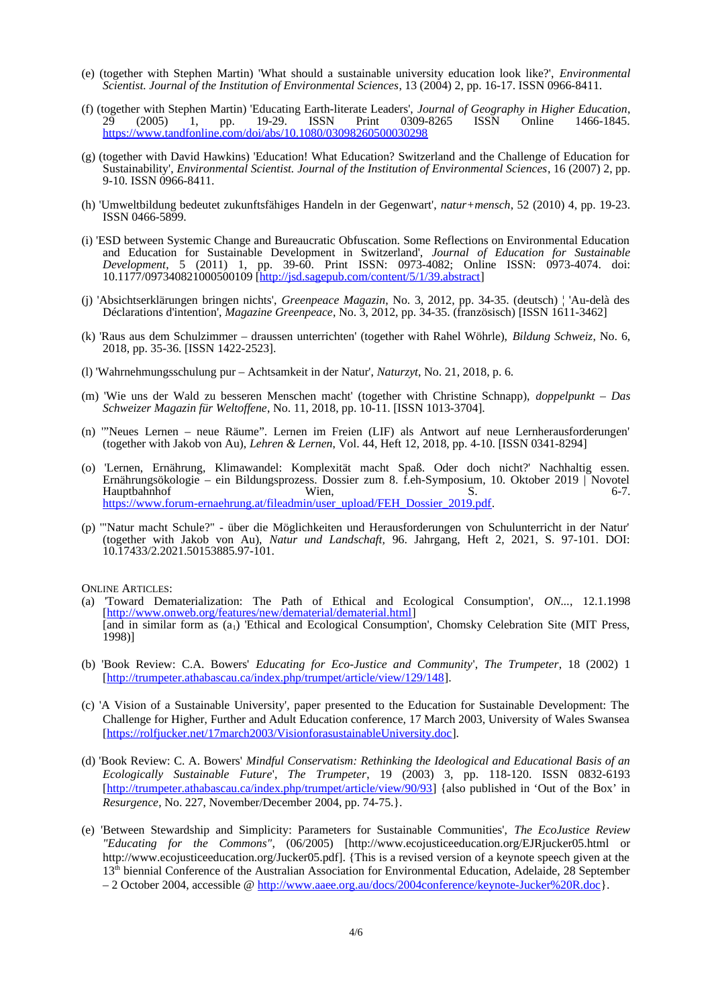- (e) (together with Stephen Martin) 'What should a sustainable university education look like?', *Environmental Scientist. Journal of the Institution of Environmental Sciences*, 13 (2004) 2, pp. 16-17. ISSN 0966-8411.
- (f) (together with Stephen Martin) 'Educating Earth-literate Leaders', *Journal of Geography in Higher Education*, 29 (2005) 1, pp. 19-29. ISSN Print 0309-8265 ISSN Online 1466-1845. 29 (2005) 1, pp. 19-29. ISSN Print 0309-<br><https://www.tandfonline.com/doi/abs/10.1080/03098260500030298>
- (g) (together with David Hawkins) 'Education! What Education? Switzerland and the Challenge of Education for Sustainability', *Environmental Scientist. Journal of the Institution of Environmental Sciences*, 16 (2007) 2, pp. 9-10. ISSN 0966-8411.
- (h) 'Umweltbildung bedeutet zukunftsfähiges Handeln in der Gegenwart', *natur+mensch*, 52 (2010) 4, pp. 19-23. ISSN 0466-5899.
- (i) 'ESD between Systemic Change and Bureaucratic Obfuscation. Some Reflections on Environmental Education and Education for Sustainable Development in Switzerland', *Journal of Education for Sustainable Development*, 5 (2011) 1, pp. 39-60. Print ISSN: 0973-4082; Online ISSN: 0973-4074. doi: 10.1177/097340821000500109 [\[http://jsd.sagepub.com/content/5/1/39.abstract\]](http://jsd.sagepub.com/content/5/1/39.abstract)
- (j) 'Absichtserklärungen bringen nichts', *Greenpeace Magazin*, No. 3, 2012, pp. 34-35. (deutsch) ¦ 'Au-delà des Déclarations d'intention', *Magazine Greenpeace*, No. 3, 2012, pp. 34-35. (französisch) [ISSN 1611-3462]
- (k) 'Raus aus dem Schulzimmer draussen unterrichten' (together with Rahel Wöhrle), *Bildung Schweiz*, No. 6, 2018, pp. 35-36. [ISSN 1422-2523].
- (l) 'Wahrnehmungsschulung pur Achtsamkeit in der Natur', *Naturzyt*, No. 21, 2018, p. 6.
- (m) 'Wie uns der Wald zu besseren Menschen macht' (together with Christine Schnapp), *doppelpunkt Das Schweizer Magazin für Weltoffene*, No. 11, 2018, pp. 10-11. [ISSN 1013-3704].
- (n) '"Neues Lernen neue Räume". Lernen im Freien (LIF) als Antwort auf neue Lernherausforderungen' (together with Jakob von Au), *Lehren & Lernen*, Vol. 44, Heft 12, 2018, pp. 4-10. [ISSN 0341-8294]
- (o) 'Lernen, Ernährung, Klimawandel: Komplexität macht Spaß. Oder doch nicht?' Nachhaltig essen. Ernährungsökologie – ein Bildungsprozess. Dossier zum 8. f.eh-Symposium, 10. Oktober 2019 | Novotel Hauptbahnhof 6-7. Wien, S. S. 6-7. [https://www.forum-ernaehrung.at/fileadmin/user\\_upload/FEH\\_Dossier\\_2019.pdf](https://www.forum-ernaehrung.at/fileadmin/user_upload/FEH_Dossier_2019.pdf).
- (p) '"Natur macht Schule?" über die Möglichkeiten und Herausforderungen von Schulunterricht in der Natur' (together with Jakob von Au), *Natur und Landschaft,* 96. Jahrgang, Heft 2, 2021, S. 97-101. DOI: 10.17433/2.2021.50153885.97-101.

ONLINE ARTICLES:

- (a) 'Toward Dematerialization: The Path of Ethical and Ecological Consumption', *ON...*, 12.1.1998 [\[http://www.onweb.org/features/new/dematerial/dematerial.html\]](http://www.onweb.org/features/new/dematerial/dematerial.html) [and in similar form as (a1) 'Ethical and Ecological Consumption', Chomsky Celebration Site (MIT Press, 1998)]
- (b) 'Book Review: C.A. Bowers' *Educating for Eco-Justice and Community*', *The Trumpeter*, 18 (2002) 1 [\[http://trumpeter.athabascau.ca/index.php/trumpet/article/view/129/148\]](http://trumpeter.athabascau.ca/index.php/trumpet/article/view/129/148).
- (c) 'A Vision of a Sustainable University', paper presented to the Education for Sustainable Development: The Challenge for Higher, Further and Adult Education conference, 17 March 2003, University of Wales Swansea [\[https://rolfjucker.net/17march2003/VisionforasustainableUniversity.doc](https://rolfjucker.net/17march2003/VisionforasustainableUniversity.doc)].
- (d) 'Book Review: C. A. Bowers' *Mindful Conservatism: Rethinking the Ideological and Educational Basis of an Ecologically Sustainable Future*', *The Trumpeter*, 19 (2003) 3, pp. 118-120. ISSN 0832-6193 [\[http://trumpeter.athabascau.ca/index.php/trumpet/article/view/90/93\]](http://trumpeter.athabascau.ca/index.php/trumpet/article/view/90/93) {also published in 'Out of the Box' in *Resurgence*, No. 227, November/December 2004, pp. 74-75.}.
- (e) 'Between Stewardship and Simplicity: Parameters for Sustainable Communities', *The EcoJustice Review "Educating for the Commons"*, (06/2005) [http://www.ecojusticeeducation.org/EJRjucker05.html or http://www.ecojusticeeducation.org/Jucker05.pdf]. {This is a revised version of a keynote speech given at the 13<sup>th</sup> biennial Conference of the Australian Association for Environmental Education, Adelaide, 28 September – 2 October 2004, accessible @ [http://www.aaee.org.au/docs/2004conference/keynote-Jucker%20R.doc}](http://www.aaee.org.au/docs/2004conference/keynote-Jucker%20R.doc).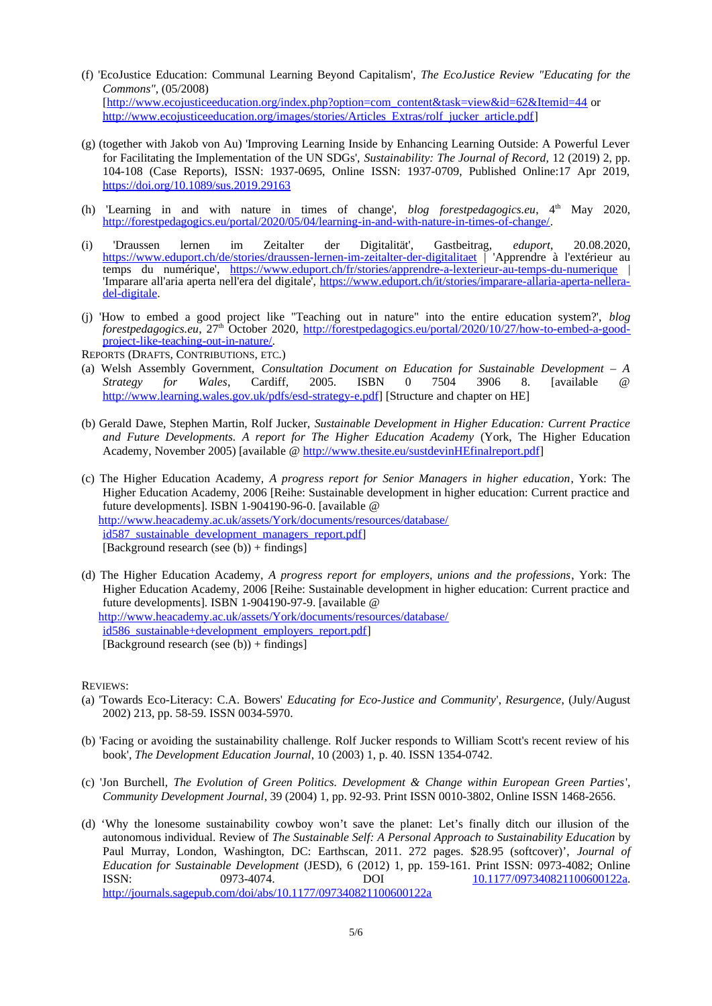- (f) 'EcoJustice Education: Communal Learning Beyond Capitalism', *The EcoJustice Review "Educating for the Commons"*, (05/2008) [\[http://www.ecojusticeeducation.org/index.php?option=com\\_content&task=view&id=62&Itemid=44](http://www.ecojusticeeducation.org/index.php?option=com_content&task=view&id=62&Itemid=44) or [http://www.ecojusticeeducation.org/images/stories/Articles\\_Extras/rolf\\_jucker\\_article.pdf\]](http://www.ecojusticeeducation.org/images/stories/Articles_Extras/rolf_jucker_article.pdf)
- (g) (together with Jakob von Au) 'Improving Learning Inside by Enhancing Learning Outside: A Powerful Lever for Facilitating the Implementation of the UN SDGs', *Sustainability: The Journal of Record,* 12 (2019) 2, pp. 104-108 (Case Reports), ISSN: 1937-0695, Online ISSN: 1937-0709, Published Online:17 Apr 2019, <https://doi.org/10.1089/sus.2019.29163>
- (h) 'Learning in and with nature in times of change', *blog forestpedagogics.eu*, 4<sup>th</sup> May 2020, <http://forestpedagogics.eu/portal/2020/05/04/learning-in-and-with-nature-in-times-of-change/>.
- (i) 'Draussen lernen im Zeitalter der Digitalität', Gastbeitrag, *eduport*, 20.08.2020, <https://www.eduport.ch/de/stories/draussen-lernen-im-zeitalter-der-digitalitaet> | 'Apprendre à l'extérieur au temps du numérique',<https://www.eduport.ch/fr/stories/apprendre-a-lexterieur-au-temps-du-numerique>| 'Imparare all'aria aperta nell'era del digitale', [https://www.eduport.ch/it/stories/imparare-allaria-aperta-nellera](https://www.eduport.ch/it/stories/imparare-allaria-aperta-nellera-del-digitale)[del-digitale.](https://www.eduport.ch/it/stories/imparare-allaria-aperta-nellera-del-digitale)
- (j) 'How to embed a good project like "Teaching out in nature" into the entire education system?', *blog forestpedagogics.eu*, 27th October 2020, [http://forestpedagogics.eu/portal/2020/10/27/how-to-embed-a-good](http://forestpedagogics.eu/portal/2020/10/27/how-to-embed-a-good-project-like-teaching-out-in-nature/)[project-like-teaching-out-in-nature/.](http://forestpedagogics.eu/portal/2020/10/27/how-to-embed-a-good-project-like-teaching-out-in-nature/)
- REPORTS (DRAFTS, CONTRIBUTIONS, ETC.)
- (a) Welsh Assembly Government, *Consultation Document on Education for Sustainable Development A Strategy for Wales*, Cardiff, 2005. ISBN 0 7504 3906 8. [available @ [http://www.learning.wales.gov.uk/pdfs/esd-strategy-e.pdf\]](http://www.learning.wales.gov.uk/pdfs/esd-strategy-e.pdf) [Structure and chapter on HE]
- (b) Gerald Dawe, Stephen Martin, Rolf Jucker, *Sustainable Development in Higher Education: Current Practice and Future Developments. A report for The Higher Education Academy* (York, The Higher Education Academy, November 2005) [available @<http://www.thesite.eu/sustdevinHEfinalreport.pdf>]
- (c) The Higher Education Academy, *A progress report for Senior Managers in higher education*, York: The Higher Education Academy, 2006 [Reihe: Sustainable development in higher education: Current practice and future developments]. ISBN 1-904190-96-0. [available @ [http://www.heacademy.ac.uk/assets/York/documents/resources/database/](http://www.heacademy.ac.uk/assets/York/documents/resources/database/id587_sustainable_development_managers_report.pdf) [id587\\_sustainable\\_development\\_managers\\_report.pdf\]](http://www.heacademy.ac.uk/assets/York/documents/resources/database/id587_sustainable_development_managers_report.pdf) [Background research (see (b)) + findings]
- (d) The Higher Education Academy, *A progress report for employers, unions and the professions*, York: The Higher Education Academy, 2006 [Reihe: Sustainable development in higher education: Current practice and future developments]. ISBN 1-904190-97-9. [available @ [http://www.heacademy.ac.uk/assets/York/documents/resources/database/](http://www.heacademy.ac.uk/assets/York/documents/resources/database/id586_sustainable+development_employers_report.pdf) [id586\\_sustainable+development\\_employers\\_report.pdf\]](http://www.heacademy.ac.uk/assets/York/documents/resources/database/id586_sustainable+development_employers_report.pdf) [Background research (see  $(b)$ ) + findings]

## REVIEWS:

- (a) 'Towards Eco-Literacy: C.A. Bowers' *Educating for Eco-Justice and Community*', *Resurgence*, (July/August 2002) 213, pp. 58-59. ISSN 0034-5970.
- (b) 'Facing or avoiding the sustainability challenge. Rolf Jucker responds to William Scott's recent review of his book', *The Development Education Journal*, 10 (2003) 1, p. 40. ISSN 1354-0742.
- (c) 'Jon Burchell, *The Evolution of Green Politics. Development & Change within European Green Parties*', *Community Development Journal*, 39 (2004) 1, pp. 92-93. Print ISSN 0010-3802, Online ISSN 1468-2656.
- (d) 'Why the lonesome sustainability cowboy won't save the planet: Let's finally ditch our illusion of the autonomous individual. Review of *The Sustainable Self: A Personal Approach to Sustainability Education* by Paul Murray, London, Washington, DC: Earthscan, 2011. 272 pages. \$28.95 (softcover)', *Journal of Education for Sustainable Development* (JESD), 6 (2012) 1, pp. 159-161. Print ISSN: 0973-4082; Online ISSN: 0973-4074. DOI [10.1177/097340821100600122a.](https://doi.org/10.1177/097340821100600122a) <http://journals.sagepub.com/doi/abs/10.1177/097340821100600122a>